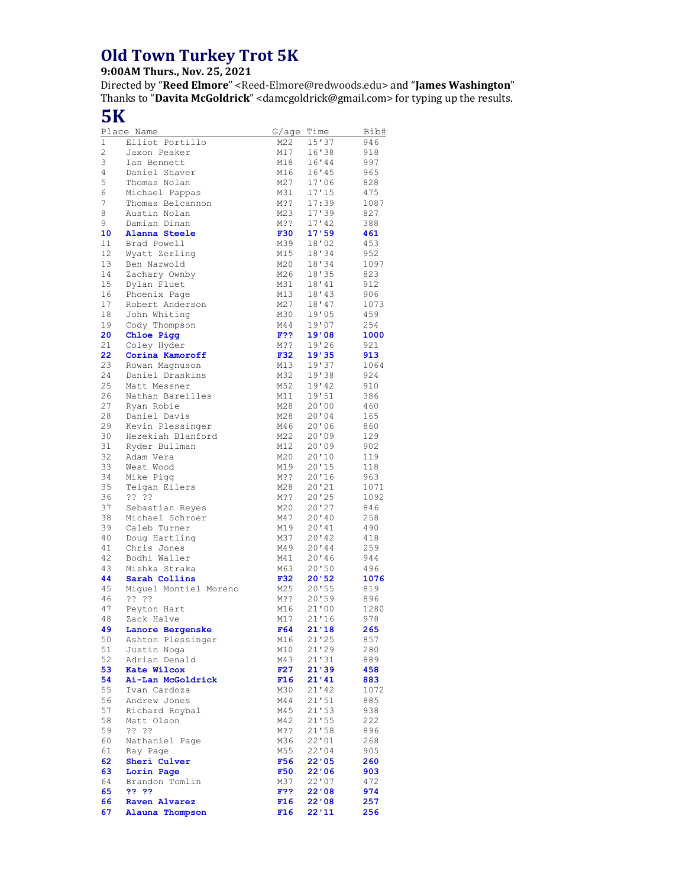## **Old Town Turkey Trot 5K**

## **9:00AM Thurs., Nov. 25, 2021**

Directed by "**Reed Elmore**" <Reed-Elmore@redwoods.edu> and "**James Washington**" Thanks to "**Davita McGoldrick**" <damcgoldrick@gmail.com> for typing up the results.

## **5K**

|          | Place Name                        | G/aqe           | Time           | Bib#        |
|----------|-----------------------------------|-----------------|----------------|-------------|
| 1        | Elliot Portillo                   | M22             | 15'37          | 946         |
| 2        | Jaxon Peaker                      | M17             | 16'38          | 918         |
| 3        | Ian Bennett                       | M18             | 16'44          | 997         |
| 4        | Daniel Shaver                     | M16             | 16'45          | 965         |
| 5<br>6   | Thomas Nolan<br>Michael Pappas    | M27<br>M31      | 17'06<br>17'15 | 828<br>475  |
| 7        | Thomas Belcannon                  | M??             | 17:39          | 1087        |
| 8        | Austin Nolan                      | M23             | 17'39          | 827         |
| 9        | Damian Dinan                      | M??             | 17'42          | 388         |
| 10       | Alanna Steele                     | <b>F30</b>      | 17'59          | 461         |
| 11       | Brad Powell                       | M39             | 18'02          | 453         |
| 12       | Wyatt Zerling                     | M15             | 18'34          | 952         |
| 13       | Ben Narwold                       | M20             | 18'34          | 1097        |
| 14       | Zachary Ownby                     | M26             | 18'35          | 823         |
| 15<br>16 | Dylan Fluet<br>Phoenix Page       | M31<br>M13      | 18'41<br>18'43 | 912<br>906  |
| 17       | Robert Anderson                   | M27             | 18'47          | 1073        |
| 18       | John Whiting                      | M30             | 19'05          | 459         |
| 19       | Cody Thompson                     | M44             | 19'07          | 254         |
| 20       | Chloe Pigg                        | F??             | 19'08          | 1000        |
| 21       | Coley Hyder                       | M??             | 19'26          | 921         |
| 22       | Corina Kamoroff                   | <b>F32</b>      | 19'35          | 913         |
| 23       | Rowan Magnuson                    | M13             | 19'37          | 1064        |
| 24       | Daniel Draskins                   | M32             | 19'38          | 924         |
| 25<br>26 | Matt Messner<br>Nathan Bareilles  | M52<br>M11      | 19'42<br>19'51 | 910<br>386  |
| 27       | Ryan Robie                        | M28             | 20'00          | 460         |
| 28       | Daniel Davis                      | M28             | 20'04          | 165         |
| 29       | Kevin Plessinger                  | M46             | 20'06          | 860         |
| 30       | Hezekiah Blanford                 | M22             | 20'09          | 129         |
| 31       | Ryder Bullman                     | M12             | 20'09          | 902         |
| 32       | Adam Vera                         | M20             | 20'10          | 119         |
| 33       | West Wood                         | M19             | 20'15          | 118         |
| 34       | Mike Piqq                         | M??             | 20'16          | 963         |
| 35       | Teigan Eilers                     | M28             | 20'21          | 1071        |
| 36<br>37 | ?? ??<br>Sebastian Reyes          | M??<br>M20      | 20'25<br>20'27 | 1092<br>846 |
| 38       | Michael Schroer                   | M47             | 20'10          | 258         |
| 39       | Caleb Turner                      | M19             | 20'41          | 490         |
| 40       | Doug Hartling                     | M37             | 20'12          | 418         |
| 41       | Chris Jones                       | M49             | 20'44          | 259         |
| 42       | Bodhi Waller                      | M41             | 20'36          | 944         |
| 43       | Mishka Straka                     | M63             | 20'50          | 496         |
| 44       | Sarah Collins                     | F32             | 20'52          | 1076        |
| 45<br>46 | Miquel Montiel Moreno<br>22.22    | M25<br>M??      | 20'55<br>20'59 | 819<br>896  |
| 47       | Peyton Hart                       | M16             | 21'00          | 1280        |
| 48       | Zack Halve                        | M17             | 21'16          | 978         |
| 49       | Lanore Bergenske                  | F64             | 21'18          | 265         |
| 50       | Ashton Plessinger                 | M16             | 21'25          | 857         |
| 51       | Justin Noga                       | M10             | 21'29          | 280         |
| 52       | Adrian Denald                     | M43             | 21'31          | 889         |
| 53       | <b>Kate Wilcox</b>                | F27             | 21'39          | 458         |
| 54<br>55 | Ai-Lan McGoldrick<br>Ivan Cardoza | F16<br>M30      | 21'41          | 883         |
| 56       | Andrew Jones                      | M44             | 21'42<br>21'51 | 1072<br>885 |
| 57       | Richard Roybal                    | M45             | 21'53          | 938         |
| 58       | Matt Olson                        | M42             | 21'55          | 222         |
| 59       | ?? ??                             | M??             | 21'58          | 896         |
| 60       | Nathaniel Page                    | M36             | 22'01          | 268         |
| 61       | Ray Page                          | M55             | 22'04          | 905         |
| 62       | Sheri Culver                      | F56             | 22'05          | 260         |
| 63       | Lorin Page                        | <b>F50</b>      | 22'06          | 903         |
| 64<br>65 | Brandon Tomlin<br>?? ??           | M37<br>F??      | 22'07<br>22'08 | 472<br>974  |
| 66       | <b>Raven Alvarez</b>              | F16             | 22'08          | 257         |
| 67       | Alauna Thompson                   | F <sub>16</sub> | 22'11          | 256         |
|          |                                   |                 |                |             |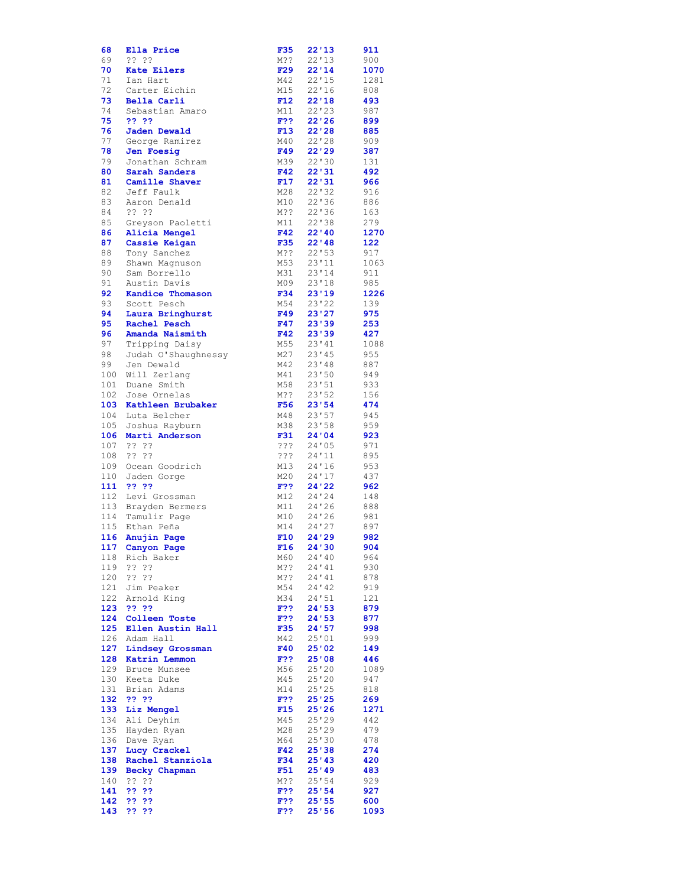| 68         | Ella Price                            | <b>F35</b>        | 22'13           | 911          |
|------------|---------------------------------------|-------------------|-----------------|--------------|
| 69         | ????                                  | M??               | 22'13           | 900          |
| 70<br>71   | <b>Kate Eilers</b><br>Ian Hart        | F29<br>M42        | 22'14<br>22'15  | 1070<br>1281 |
| 72         | Carter Eichin                         | M15               | 22'16           | 808          |
| 73         | Bella Carli                           | F12               | 22'18           | 493          |
| 74         | Sebastian Amaro                       | M11               | $22'$ 23        | 987          |
| 75         | ?? ??                                 | F??               | 22'26           | 899          |
| 76         | Jaden Dewald                          | F13               | 22'28           | 885          |
| 77         | George Ramirez                        | M40               | 22'28           | 909          |
| 78         | Jen Foesig                            | F49               | 22'29           | 387          |
| 79<br>80   | Jonathan Schram<br>Sarah Sanders      | M39<br>F42        | 22'30<br>22'31  | 131<br>492   |
| 81         | Camille Shaver                        | F17               | 22'31           | 966          |
| 82         | Jeff Faulk                            | M28               | 22'32           | 916          |
| 83         | Aaron Denald                          | M10               | 22'36           | 886          |
| 84         | ?? ??                                 | M??               | 22'36           | 163          |
| 85         | Greyson Paoletti                      | M11               | 22'38           | 279          |
| 86         | Alicia Mengel                         | F42               | 22' 40          | 1270         |
| 87<br>88   | Cassie Keigan                         | <b>F35</b><br>M?? | 22' 48<br>22'53 | 122<br>917   |
| 89         | Tony Sanchez<br>Shawn Magnuson        | M53               | 23'11           | 1063         |
| 90         | Sam Borrello                          | M31               | 23'14           | 911          |
| 91         | Austin Davis                          | M09               | 23'18           | 985          |
| 92         | Kandice Thomason                      | F34               | 23'19           | 1226         |
| 93         | Scott Pesch                           | M54               | 23'22           | 139          |
| 94         | Laura Bringhurst                      | F49               | 23'27           | 975          |
| 95         | Rachel Pesch                          | F47               | 23'39           | 253          |
| 96         | Amanda Naismith                       | F42               | 23'39           | 427          |
| 97<br>98   | Tripping Daisy<br>Judah O'Shaughnessy | M55<br>M27        | 23'41<br>23'45  | 1088<br>955  |
| 99         | Jen Dewald                            | M42               | 23'48           | 887          |
| 100        | Will Zerlang                          | M41               | 23'50           | 949          |
| 101        | Duane Smith                           | M58               | 23'51           | 933          |
| 102        | Jose Ornelas                          | M??               | 23'52           | 156          |
| 103        | Kathleen Brubaker                     | F56               | 23'54           | 474          |
| 104        | Luta Belcher                          | M48               | 23'57           | 945          |
| 105        | Joshua Rayburn                        | M38               | 23'58           | 959          |
| 106<br>107 | Marti Anderson<br>????                | F31<br>???        | 24'04<br>24'05  | 923<br>971   |
| 108        | ????                                  | ???               | 24'11           | 895          |
| 109        | Ocean Goodrich                        | M13               | 24'16           | 953          |
| 110        | Jaden Gorge                           | M20               | 24'17           | 437          |
| 111        | ?? ??                                 | F??               | 24'22           | 962          |
|            | 112 Levi Grossman                     | M12               | 24'24           | 148          |
|            | 113 Brayden Bermers                   | M11               | 24'26           | 888          |
|            | 114 Tamulir Page<br>115 Ethan Peña    | M10<br>M14        | 24'26<br>24'27  | 981<br>897   |
| 116        | Anujin Page                           | F10               | 24 ' 29         | 982          |
|            | 117 Canyon Page                       | F16               | 24'30           | 904          |
|            | 118 Rich Baker                        | M60               | 24'40           | 964          |
|            | 119 ?? ??                             | M??               | 24'41           | 930          |
|            | 120 ?? ??                             | M??               | 24'41           | 878          |
|            | 121 Jim Peaker                        | M54               | 24'42           | 919          |
|            | 122 Arnold King                       | M34               | 24'51           | 121          |
|            | 123 ?? ??<br>124 Colleen Toste        | F??<br>$F$ ??     | 24'53<br>24'53  | 879<br>877   |
|            | 125 Ellen Austin Hall                 | <b>F35</b>        | 24'57           | 998          |
|            | 126 Adam Hall                         | M42               | 25'01           | 999          |
|            | 127 Lindsey Grossman                  | <b>F40</b>        | 25'02           | 149          |
|            | 128 Katrin Lemmon                     | $F$ ??            | 25'08           | 446          |
|            | 129 Bruce Munsee                      | M56               | 25'20           | 1089         |
|            | 130 Keeta Duke                        | M45               | 25'20           | 947          |
|            | 131 Brian Adams                       | M14               | 25'25           | 818          |
|            | 132 ?? ??<br>133 Liz Mengel           | F??<br>F15        | 25'25<br>25'26  | 269<br>1271  |
|            | 134 Ali Deyhim                        | M45               | 25'29           | 442          |
|            | 135 Hayden Ryan                       | M28               | 25'29           | 479          |
|            | 136 Dave Ryan                         | M64               | 25'30           | 478          |
|            | 137 Lucy Crackel                      | F42               | 25'38           | 274          |
|            | 138 Rachel Stanziola                  | <b>F34</b>        | 25'43           | 420          |
|            | 139 Becky Chapman                     | F51               | 25'49           | 483          |
|            | 140 ?? ??                             | M??               | 25'54           | 929          |
| 141<br>142 | 33 33<br>33.33                        | $F$ ??<br>$F$ ??  | 25:54<br>25:55  | 927<br>600   |
|            |                                       |                   |                 |              |
| 143        | ?? ??                                 | F??               | 25'56           | 1093         |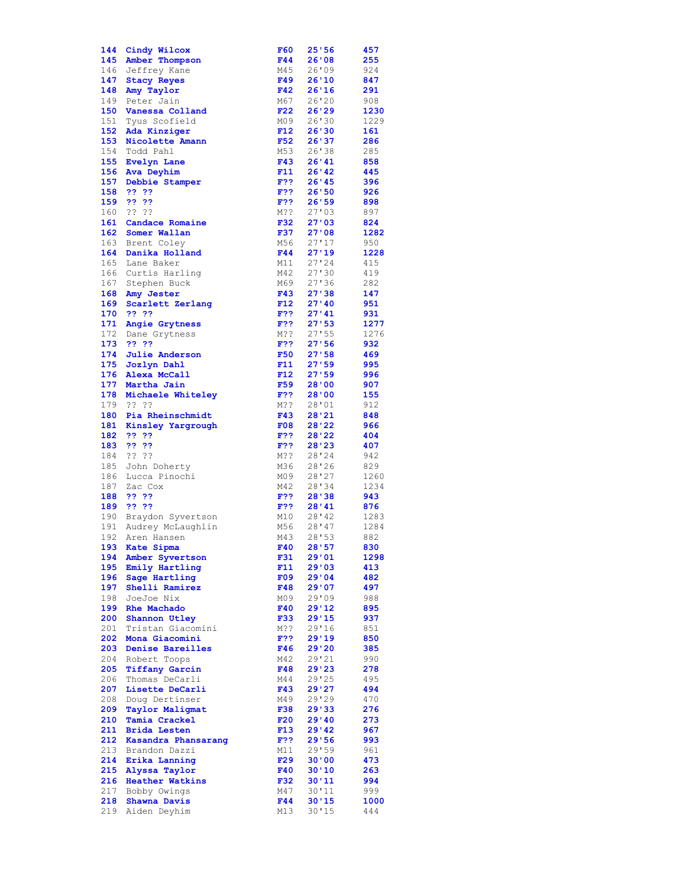| 144        | Cindy Wilcox                         | F60        | 25'56          | 457         |
|------------|--------------------------------------|------------|----------------|-------------|
| 145        | Amber Thompson                       | F44        | 26'08          | 255         |
|            | 146 Jeffrey Kane                     | M45        | 26'09          | 924         |
| 147        | <b>Stacy Reyes</b>                   | F49        | 26'10          | 847         |
| 148        | Amy Taylor                           | F42        | 26'16          | 291         |
| 149<br>150 | Peter Jain<br>Vanessa Colland        | M67<br>F22 | 26'20<br>26'29 | 908<br>1230 |
| 151        | Tyus Scofield                        | M09        | 26'30          | 1229        |
| 152        | Ada Kinziger                         | F12        | 26'30          | 161         |
| 153        | Nicolette Amann                      | F52        | 26'37          | 286         |
| 154        | Todd Pahl                            | M53        | 26'38          | 285         |
| 155        | <b>Evelyn Lane</b>                   | F43        | 26'41          | 858         |
| 156        | Ava Deyhim                           | F11        | 26'42          | 445         |
| 157        | Debbie Stamper                       | F??        | 26'45          | 396         |
| 158        | ?? ??                                | F??        | 26'50          | 926         |
| 159        | ?? ??                                | F??        | 26'59          | 898         |
| 160        | ????                                 | M??        | 27'03          | 897         |
| 161        | Candace Romaine                      | F32        | 27'03          | 824         |
| 162        | Somer Wallan                         | F37        | 27'08          | 1282        |
|            | 163 Brent Coley                      | M56        | 27'17          | 950         |
| 164        | Danika Holland                       | F44        | 27'19          | 1228        |
| 165        | Lane Baker                           | M11        | 27'24          | 415         |
| 166        | Curtis Harling                       | M42        | 27'30          | 419         |
|            | 167 Stephen Buck                     | M69        | 27'36          | 282         |
| 168<br>169 | Amy Jester                           | F43<br>F12 | 27'38<br>27'40 | 147<br>951  |
| 170        | Scarlett Zerlang<br>?? ??            | F??        | 27'41          | 931         |
| 171        | Angie Grytness                       | F??        | 27'53          | 1277        |
|            | 172 Dane Grytness                    | M??        | 27'55          | 1276        |
| 173        | ?? ??                                | F??        | 27'56          | 932         |
| 174        | <b>Julie Anderson</b>                | <b>F50</b> | 27:58          | 469         |
| 175        | Jozlyn Dahl                          | F11        | 27:59          | 995         |
| 176        | Alexa McCall                         | F12        | 27'59          | 996         |
| 177        | Martha Jain                          | F59        | 28'00          | 907         |
| 178        | Michaele Whiteley                    | F??        | 28'00          | 155         |
| 179        | ?? ??                                | M??        | 28'01          | 912         |
| 180        | Pia Rheinschmidt                     | F43        | 28'21          | 848         |
| 181        | Kinsley Yargrough                    | F08        | 28'22          | 966         |
| 182        | ?? ??                                | F??        | 28'22          | 404         |
| 183        | ?? ??                                | F??        | 28'23          | 407         |
| 184        | ?? ??                                | M??        | 28'24          | 942         |
| 185        | John Doherty                         | M36        | 28'26          | 829         |
| 186        | Lucca Pinochi                        | M09        | 28'27          | 1260        |
| 187        | Zac Cox<br>22.22                     | M42        | 28'34          | 1234<br>943 |
| 188<br>189 | ?? ??                                | F??<br>F?? | 28'38<br>28'41 | 876         |
| 190        | Braydon Syvertson                    | M10        | 28'42          | 1283        |
|            | 191 Audrey McLaughlin                | M56        | 28'47          | 1284        |
| 192        | Aren Hansen                          | M43        | 28'53          | 882         |
| 193        | Kate Sipma                           | F40        | 28'57          | 830         |
| 194        | Amber Syvertson                      | F31        | 29'01          | 1298        |
| 195        | Emily Hartling                       | F11        | 29'03          | 413         |
| 196        | Sage Hartling                        | F09        | 29'04          | 482         |
| 197        | Shelli Ramirez                       | F48        | 29'07          | 497         |
| 198        | JoeJoe Nix                           | M09        | 29'09          | 988         |
| 199        | Rhe Machado                          | F40        | 29'12          | 895         |
| 200        | Shannon Utley                        | F33        | 29'15          | 937         |
| 201        | Tristan Giacomini                    | M??        | 29'16          | 851         |
| 202        | Mona Giacomini                       | F??        | 29'19          | 850         |
| 203        | Denise Bareilles                     | F46        | 29'20          | 385         |
| 204        | Robert Toops                         | M42        | 29'21          | 990         |
| 205        |                                      |            |                |             |
|            | <b>Tiffany Garcin</b>                | F48        | 29'23          | 278         |
| 206        | Thomas DeCarli                       | M44        | 29'25          | 495         |
| 207        | Lisette DeCarli                      | F43        | 29'27          | 494         |
| 208        | Doug Dertinser                       | M49        | 29'29          | 470         |
| 209        | <b>Taylor Maligmat</b>               | <b>F38</b> | 29'33          | 276         |
| 210        | Tamia Crackel                        | F20        | 29'40          | 273         |
| 211<br>212 | <b>Brida Lesten</b>                  | F13<br>F?? | 29'42<br>29'56 | 967         |
| 213        | Kasandra Phansarang<br>Brandon Dazzi | M11        | 29'59          | 993<br>961  |
| 214        | Erika Lanning                        | F29        | 30'00          | 473         |
| 215        | Alyssa Taylor                        | F40        | 30'10          | 263         |
| 216        | <b>Heather Watkins</b>               | F32        | 30'11          | 994         |
| 217        | Bobby Owings                         | M47        | 30'11          | 999         |
| 218<br>219 | Shawna Davis                         | F44        | 30'15<br>30'15 | 1000        |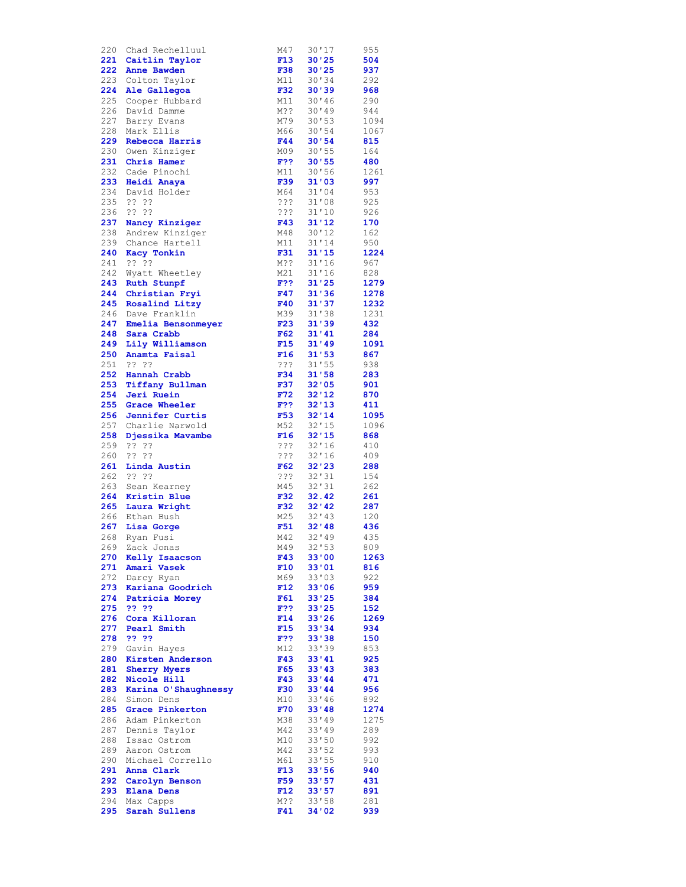| 220        | Chad Rechelluul            | M47        | 30'17            | 955        |
|------------|----------------------------|------------|------------------|------------|
|            | 221 Caitlin Taylor         | F13        | 30'25            | 504        |
|            | 222 Anne Bawden            | <b>F38</b> | 30'25            | 937        |
|            | 223 Colton Taylor          | M11        | 30'34            | 292        |
|            | 224 Ale Gallegoa           | F32        | 30'39            | 968        |
|            | 225 Cooper Hubbard         | M11        | 30'46            | 290        |
|            | 226 David Damme            | M??        | 30'49            | 944        |
|            | 227 Barry Evans            |            |                  |            |
|            |                            | M79        | 30'53            | 1094       |
| 228        | Mark Ellis                 | M66        | 30'54            | 1067       |
| 229        | Rebecca Harris             | F44        | 30:54            | 815        |
|            | 230 Owen Kinziger          | M09        | 30'55            | 164        |
| 231        | Chris Hamer                | F??        | 30'55            | 480        |
| 232        | Cade Pinochi               | M11        | 30'56            | 1261       |
| 233        | Heidi Anaya                | <b>F39</b> | 31'03            | 997        |
|            | 234 David Holder           | M64        | 31'04            | 953        |
| 235        | ?? ??                      | ???        | 31'08            | 925        |
| 236        | ?? ??                      |            |                  |            |
|            |                            | ? ? ?      | 31'10            | 926        |
|            | 237 Nancy Kinziger         | F43        | 31'12            | 170        |
|            | 238 Andrew Kinziger        | M48        | 30'12            | 162        |
|            | 239 Chance Hartell         | M11        | 31'14            | 950        |
| 240        | Kacy Tonkin                | F31        | 31'15            | 1224       |
| 241        | ?? ??                      | M??        | 31'16            | 967        |
|            | 242 Wyatt Wheetley         | M21        | 31'16            | 828        |
|            | 243 Ruth Stunpf            | $F$ ??     | 31'25            | 1279       |
|            | 244 Christian Fryi         | F47        | 31'36            | 1278       |
| 245        | Rosalind Litzy             | F40        | 31'37            | 1232       |
|            |                            |            |                  |            |
|            | 246 Dave Franklin          | M39        | 31'38            | 1231       |
| 247        | Emelia Bensonmeyer         | F23        | 31'39            | 432        |
| 248        | Sara Crabb                 | F62        | 31'41            | 284        |
|            | 249 Lily Williamson        | F15        | 31'49            | 1091       |
|            | 250 Anamta Faisal          | F16        | 31'53            | 867        |
| 251        | ?? ??                      | ???        | 31'55            | 938        |
|            | 252 Hannah Crabb           | F34        | 31'58            | 283        |
|            | 253 Tiffany Bullman        | F37        | 32'05            | 901        |
| 254        | Jeri Ruein                 | F72        | 32'12            | 870        |
|            |                            |            |                  |            |
|            | 255 Grace Wheeler          | F??        | 32'13            | 411        |
|            | 256 Jennifer Curtis        | <b>F53</b> | 32'14            | 1095       |
|            | 257 Charlie Narwold        | M52        | 32'15            | 1096       |
|            | 258 Djessika Mavambe       | F16        | 32'15            | 868        |
| 259        | ?? ??                      | ???        | 32'16            | 410        |
| 260        | ?? ??                      | ? ? ?      | 32'16            | 409        |
| 261        | Linda Austin               | F62        | 32'23            | 288        |
|            | 262 ?? ??                  | ? ? ?      | 32'31            | 154        |
|            | 263 Sean Kearney           | M45        | 32'31            | 262        |
|            | 264 Kristin Blue           | <b>F32</b> | 32.42            | 261        |
|            |                            | F32        |                  |            |
| 265        | Laura Wright               |            | 32'42            | 287        |
| 266        | Ethan Bush                 | M25        | 32'13            | 120        |
|            | 267 Lisa Gorge             | F51        | 32'48            | 436        |
| 268        | Ryan Fusi                  | M42        | 32'19            | 435        |
| 269        | Zack Jonas                 | M49        | 32'53            | 809        |
|            | 270 Kelly Isaacson         | F43        | 33'00            | 1263       |
|            | 271 Amari Vasek            | F10        | 33'01            | 816        |
| 272        | Darcy Ryan                 | M69        | 33'03            | 922        |
| 273        | Kariana Goodrich           | F12        | 33'06            | 959        |
| 274        |                            | F61        | 33'25            | 384        |
|            | Patricia Morey             |            |                  |            |
| 275        | 22.22                      | F??        | 33'25            | 152        |
| 276        | Cora Killoran              | F14        | 33'26            | 1269       |
| 277        | Pearl Smith                |            | 33'34            | 934        |
| 278        |                            | F15        |                  |            |
|            | 22 22                      | F??        | 33'38            | 150        |
| 279        | Gavin Hayes                | M12        | 33'39            | 853        |
|            |                            | F43        | 33'41            |            |
| 280        | Kirsten Anderson           |            |                  | 925        |
| 281        | <b>Sherry Myers</b>        | F65        | 33'43            | 383        |
| 282        | Nicole Hill                | F43        | 33'44            | 471        |
| 283        | Karina O'Shaughnessy       | <b>F30</b> | 33'44            | 956        |
| 284        | Simon Dens                 | M10        | 33'46            | 892        |
| 285        | Grace Pinkerton            | F70        | 33'48            | 1274       |
| 286        | Adam Pinkerton             | M38        | 33'49            | 1275       |
| 287        | Dennis Taylor              | M42        | 33'49            | 289        |
| 288        | Issac Ostrom               | M10        | 33'50            | 992        |
| 289        | Aaron Ostrom               | M42        | 33'52            | 993        |
|            |                            |            |                  |            |
| 290        | Michael Corrello           | M61        | 33'55            | 910        |
| 291        | Anna Clark                 | F13        | 33'56            | 940        |
| 292        | Carolyn Benson             | F59        | 33'57            | 431        |
|            | 293 Elana Dens             | F12        | 33'57            | 891        |
| 294<br>295 | Max Capps<br>Sarah Sullens | M??<br>F41 | 33'58<br>34 ' 02 | 281<br>939 |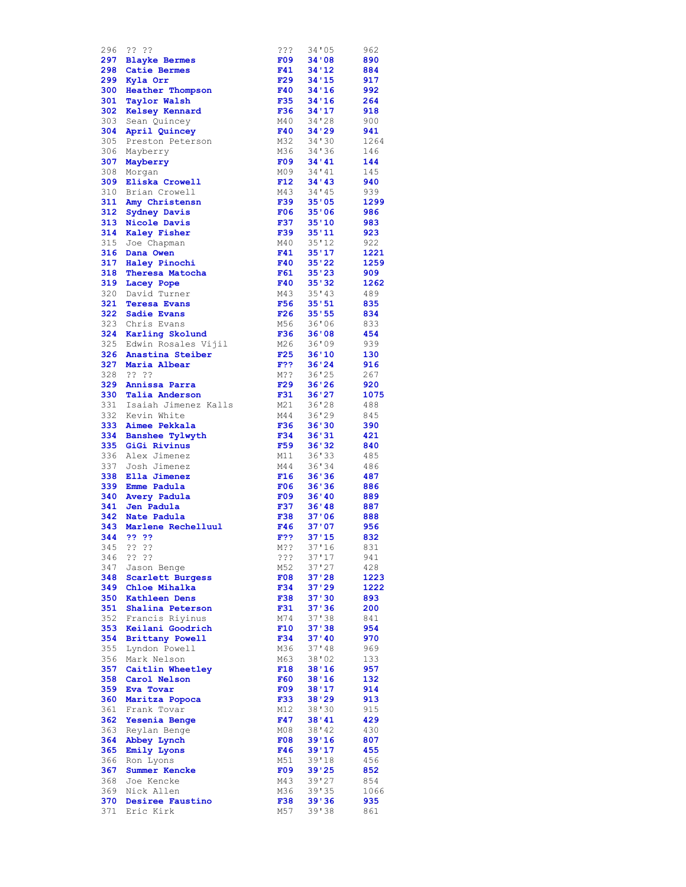| 296        | ?? ??                         | ???               | 34'05          | 962        |
|------------|-------------------------------|-------------------|----------------|------------|
|            | 297 Blayke Bermes             | F09               | 34'08          | 890        |
|            | 298 Catie Bermes              | F41               | 34'12          | 884        |
|            | 299 Kyla Orr                  | F29               | 34'15          | 917        |
|            | 300 Heather Thompson          | F40               | 34'16          | 992        |
|            |                               |                   |                |            |
|            | 301 Taylor Walsh              | <b>F35</b>        | 34'16          | 264        |
|            | 302 Kelsey Kennard            | F36               | 34'17          | 918        |
|            | 303 Sean Quincey              | M40               | 34'28          | 900        |
| 304        | April Quincey                 | F40               | 34'29          | 941        |
| 305        | Preston Peterson              | M32               | 34'30          | 1264       |
| 306        | Mayberry                      | M36               | 34'36          | 146        |
|            | 307 Mayberry                  | F09               | 34'41          | 144        |
|            |                               | M09               | 34'41          |            |
| 308        | Morgan                        |                   |                | 145        |
|            | 309 Eliska Crowell            | F12               | 34'43          | 940        |
|            | 310 Brian Crowell             | M43               | 34'45          | 939        |
|            | 311 Amy Christensn            | <b>F39</b>        | 35'05          | 1299       |
|            | 312 Sydney Davis              | F06               | 35'06          | 986        |
| 313        | Nicole Davis                  | F37               | 35'10          | 983        |
|            | 314 Kaley Fisher              | F39               | 35'11          | 923        |
|            | 315 Joe Chapman               | M40               | 35'12          | 922        |
|            |                               |                   |                |            |
| 316        | Dana Owen                     | F41               | 35'17          | 1221       |
|            | 317 Haley Pinochi             | F40               | 35'22          | 1259       |
| 318        | Theresa Matocha               | F61               | 35'23          | 909        |
| 319        | Lacey Pope                    | F40               | 35'32          | 1262       |
| 320        | David Turner                  | M43               | 35'13          | 489        |
| 321        | <b>Teresa Evans</b>           | F56               | 35'51          | 835        |
| 322        | Sadie Evans                   | F26               | 35'55          | 834        |
|            |                               |                   |                |            |
| 323        | Chris Evans                   | M56               | 36'06          | 833        |
| 324        | Karling Skolund               | F36               | 36'08          | 454        |
|            | 325 Edwin Rosales Vijil       | M26               | 36'09          | 939        |
| 326        | Anastina Steiber              | F25               | 36'10          | 130        |
| 327        | Maria Albear                  | F??               | 36'24          | 916        |
|            | 328 ?? ??                     | M??               | 36'25          | 267        |
| 329        | Annissa Parra                 | F29               | 36'26          | 920        |
|            |                               |                   |                |            |
| 330        | Talia Anderson                | F31               | 36'27          | 1075       |
|            | 331 Isaiah Jimenez Kalls      | M21               | 36'28          | 488        |
| 332        | Kevin White                   | M44               | 36'29          | 845        |
| 333        | Aimee Pekkala                 | F36               | 36'30          | 390        |
| 334        | Banshee Tylwyth               | F34               | 36'31          | 421        |
| 335        | GiGi Rivinus                  | F59               | 36'32          | 840        |
| 336        | Alex Jimenez                  | M11               | 36'33          | 485        |
|            |                               |                   |                |            |
| 337        | Josh Jimenez                  | M44               | 36'34          | 486        |
| 338        | Ella Jimenez                  | F16               | 36'36          | 487        |
| 339        | Emme Padula                   | F06               | 36'36          | 886        |
| 340        | Avery Padula                  | F09               | 36'40          | 889        |
| 341        | Jen Padula                    | <b>F37</b>        | 36'48          | 887        |
| 342        | Nate Padula                   |                   |                |            |
|            |                               |                   | 37'06          |            |
|            |                               | <b>F38</b>        |                | 888        |
|            | 343 Marlene Rechelluul        | F46               | 37'07          | 956        |
| 344        | 22.22                         | F??               | 37'15          | 832        |
|            | 345 ?? ??                     | M??               | 37'16          | 831        |
| 346        | - ?? ??                       | ???               | 37'17          | 941        |
|            | 347 Jason Benge               | M52               | 37'27          | 428        |
| 348        | Scarlett Burgess              | F08               | 37'28          | 1223       |
| 349        | Chloe Mihalka                 | F34               | 37'29          | 1222       |
| 350        | <b>Kathleen Dens</b>          | <b>F38</b>        | 37'30          | 893        |
|            |                               |                   |                |            |
| 351        | Shalina Peterson              | <b>F31</b>        | 37'36          | 200        |
| 352        | Francis Riyinus               | M74               | 37'38          | 841        |
| 353        | Keilani Goodrich              | F10               | 37'38          | 954        |
| 354        | <b>Brittany Powell</b>        | F34               | 37'40          | 970        |
| 355        | Lyndon Powell                 | M36               | 37'48          | 969        |
| 356        | Mark Nelson                   | M63               | 38'02          | 133        |
|            |                               | F18               | 38'16          | 957        |
|            | 357 Caitlin Wheetley          |                   |                |            |
| 358        | Carol Nelson                  | <b>F60</b>        | 38'16          | 132        |
| 359        | Eva Tovar                     | F09               | 38'17          | 914        |
| 360        | Maritza Popoca                | F33               | 38'29          | 913        |
| 361        | Frank Tovar                   | M12               | 38'30          | 915        |
| 362        | Yesenia Benge                 | F47               | 38'41          | 429        |
| 363        | Reylan Benge                  | M08               | 38'42          | 430        |
| 364        | Abbey Lynch                   | F08               | 39'16          | 807        |
| 365        | Emily Lyons                   | F46               | 39'17          | 455        |
|            |                               |                   |                |            |
| 366        | Ron Lyons                     | M51               | 39'18          | 456        |
| 367        | Summer Kencke                 | F09               | 39'25          | 852        |
| 368        | Joe Kencke                    | M43               | 39'27          | 854        |
| 369        | Nick Allen                    | M36               | 39'35          | 1066       |
| 370<br>371 | Desiree Faustino<br>Eric Kirk | <b>F38</b><br>M57 | 39'36<br>39'38 | 935<br>861 |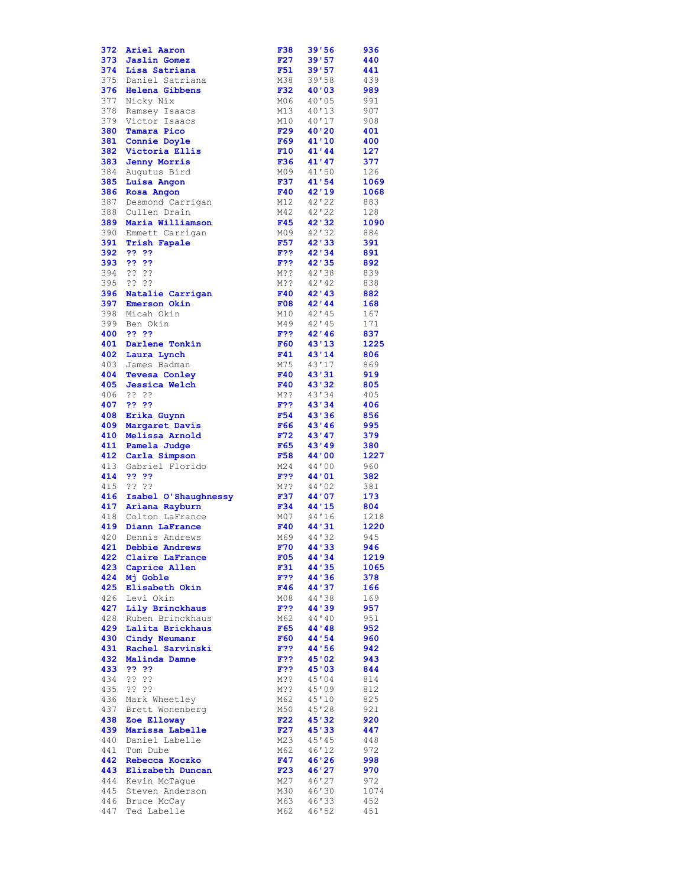| 372        | Ariel Aaron                             | F38        | 39'56          | 936         |
|------------|-----------------------------------------|------------|----------------|-------------|
| 373        | <b>Jaslin Gomez</b>                     | F27        | 39'57          | 440         |
| 374        | Lisa Satriana                           | F51        | 39'57          | 441         |
| 375        | Daniel Satriana                         | M38        | 39'58          | 439         |
| 376        | <b>Helena Gibbens</b>                   | <b>F32</b> | 40'03          | 989         |
| 377        | Nicky Nix                               | M06        | 40'05          | 991         |
| 378        | Ramsey Isaacs                           | M13        | 40'13          | 907         |
| 379        | Victor Isaacs                           | M10        | 40'17          | 908         |
| 380        | Tamara Pico                             | F29        | 40'20          | 401         |
| 381        | Connie Doyle                            | F69        | 41'10          | 400         |
|            | 382 Victoria Ellis                      | F10        | 41'44          | 127         |
| 383        | <b>Jenny Morris</b>                     | F36        | 41'47          | 377         |
| 384        | Augutus Bird                            | M09        | 41'50          | 126         |
| 385        | Luisa Angon                             | F37        | 41'54          | 1069        |
| 386        | Rosa Angon                              | F40        | 42'19          | 1068        |
| 387        | Desmond Carrigan                        | M12        | 42'22          | 883         |
| 388        | Cullen Drain                            | M42        | 42'22          | 128         |
| 389        | Maria Williamson<br>390 Emmett Carrigan | F45<br>M09 | 42'32<br>42'32 | 1090<br>884 |
| 391        | <b>Trish Fapale</b>                     | F57        | 42'33          | 391         |
| 392        | - ??-??                                 | F??        | 42'34          | 891         |
| 393        | -22-22                                  | F??        | 42'35          | 892         |
| 394        | ?? ??                                   | M??        | 42'38          | 839         |
| 395        | ?? ??                                   | M??        | $42'$ 42       | 838         |
| 396        | Natalie Carrigan                        | F40        | 42'43          | 882         |
| 397        | Emerson Okin                            | F08        | 42'44          | 168         |
| 398        | Micah Okin                              | M10        | 42'145         | 167         |
| 399        | Ben Okin                                | M49        | 42'45          | 171         |
| 400        | ?? ??                                   | F??        | 42'146         | 837         |
|            | 401 Darlene Tonkin                      | <b>F60</b> | 43'13          | 1225        |
| 402        | Laura Lynch                             | F41        | 43'14          | 806         |
| 403        | James Badman                            | M75        | 43'17          | 869         |
| 404        | <b>Tevesa Conley</b>                    | F40        | 43'31          | 919         |
| 405        | <b>Jessica Welch</b>                    | <b>F40</b> | 43'32          | 805         |
| 406        | ?? ??                                   | M??        | 43'34          | 405         |
| 407        | ?? ??                                   | F??        | 43'34          | 406         |
| 408        | Erika Guynn                             | F54        | 43'36          | 856         |
| 409<br>410 | Margaret Davis<br>Melissa Arnold        | F66<br>F72 | 43'46<br>43'47 | 995<br>379  |
| 411        | Pamela Judge                            | F65        | 43'49          | 380         |
|            | 412 Carla Simpson                       | F58        | 44'00          | 1227        |
| 413        | Gabriel Florido                         | M24        | 44'00          | 960         |
| 414        | ?? ??                                   | F??        | 44'01          | 382         |
| 415        | ?? ??                                   | M??        | 44'02          | 381         |
|            | 416 Isabel O'Shaughnessy                | F37        | 44'07          | 173         |
|            | 417 Ariana Rayburn                      | F34        | 44'15          | 804         |
| 418        | Colton LaFrance                         | M07        | 44'16          | 1218        |
| 419        | Diann LaFrance                          | F40        | 44'31          | 1220        |
| 420        | Dennis Andrews                          | M69        | 44'32          | 945         |
| 421        | Debbie Andrews                          | F70        | 44'33          | 946         |
| 422        | Claire LaFrance                         | F05        | 44'34          | 1219        |
| 423        | Caprice Allen                           | F31        | 44'35          | 1065        |
| 424        | Mj Goble                                | F??        | 44'36          | 378         |
| 425        | Elisabeth Okin                          | F46        | 44'37          | 166         |
| 426        | Levi Okin                               | M08        | 44'38          | 169         |
| 427<br>428 | Lily Brinckhaus<br>Ruben Brinckhaus     | F??<br>M62 | 44'39<br>44'40 | 957<br>951  |
| 429        | Lalita Brickhaus                        | F65        | 44'48          | 952         |
| 430        | Cindy Neumanr                           | <b>F60</b> | 44'54          | 960         |
| 431        | Rachel Sarvinski                        | F??        | 44'56          | 942         |
| 432        | Malinda Damne                           | F??        | 45'02          | 943         |
| 433        | ?? ??                                   | F??        | 45'03          | 844         |
| 434        | ?? ??                                   | M??        | 45'04          | 814         |
| 435        | ?? ??                                   | M??        | 45'09          | 812         |
| 436        | Mark Wheetley                           | M62        | 45'10          | 825         |
| 437        | Brett Wonenberg                         | M50        | 45'28          | 921         |
| 438        | Zoe Elloway                             | F22        | 45'32          | 920         |
| 439        | Marissa Labelle                         | F27        | 45'33          | 447         |
| 440        | Daniel Labelle                          | M23        | 45'45          | 448         |
| 441        | Tom Dube                                | M62        | 46'12          | 972         |
| 442        | Rebecca Koczko                          | F47        | 46'26          | 998         |
| 443        | Elizabeth Duncan                        | F23        | 46'27          | 970         |
|            |                                         |            |                |             |
| 444        | Kevin McTaque                           | M27        | 46'27          | 972         |
| 445        | Steven Anderson                         | M30        | 46'30          | 1074        |
| 446<br>447 | Bruce McCay<br>Ted Labelle              | M63<br>M62 | 46'33<br>46'52 | 452<br>451  |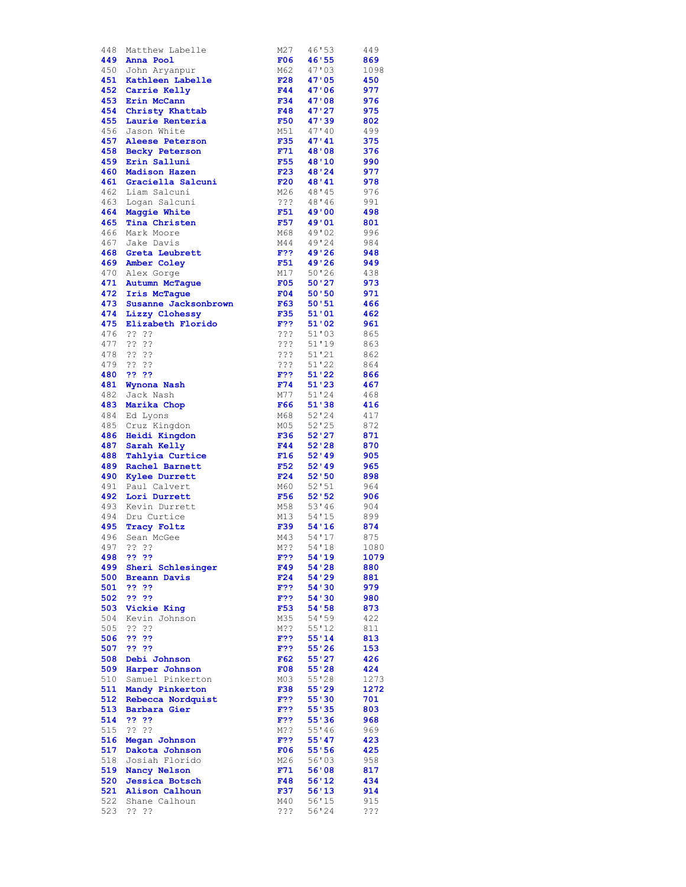| 448        | Matthew Labelle       | M27        | 46'53   | 449  |
|------------|-----------------------|------------|---------|------|
| 449        | Anna Pool             | F06        | 46'55   | 869  |
|            | 450 John Aryanpur     | M62        | 47'03   | 1098 |
| 451        | Kathleen Labelle      | <b>F28</b> | 47'05   | 450  |
| 452        | Carrie Kelly          | F44        | 47'06   | 977  |
| 453        | Erin McCann           | F34        | 47'08   | 976  |
| 454        |                       | F48        | 47'27   | 975  |
|            | Christy Khattab       |            |         |      |
| 455        | Laurie Renteria       | <b>F50</b> | 47'39   | 802  |
| 456        | Jason White           | M51        | 47'10   | 499  |
| 457        | Aleese Peterson       | <b>F35</b> | 47'41   | 375  |
|            | 458 Becky Peterson    | F71        | 48'08   | 376  |
|            | 459 Erin Salluni      | <b>F55</b> | 48'10   | 990  |
| 460        | <b>Madison Hazen</b>  | F23        | 48'24   | 977  |
| 461        | Graciella Salcuni     | F20        | 48'41   | 978  |
|            | 462 Liam Salcuni      | M26        | 48'45   | 976  |
|            |                       | ???        |         |      |
|            | 463 Logan Salcuni     |            | 48'46   | 991  |
| 464        | Maggie White          | F51        | 49'00   | 498  |
| 465        | Tina Christen         | F57        | 49'01   | 801  |
| 466        | Mark Moore            | M68        | 49'02   | 996  |
|            | 467 Jake Davis        | M44        | 49'24   | 984  |
| 468        | Greta Leubrett        | F??        | 49'26   | 948  |
|            | 469 Amber Coley       | F51        | 49'26   | 949  |
| 470        | Alex Gorge            | M17        | 50'26   | 438  |
| 471        | Autumn McTaque        | F05        | 50'27   | 973  |
| 472        | Iris McTague          | F04        | 50'50   | 971  |
| 473        |                       |            |         | 466  |
|            | Susanne Jacksonbrown  | F63        | 50:51   |      |
|            | 474 Lizzy Clohessy    | <b>F35</b> | 51'01   | 462  |
|            | 475 Elizabeth Florido | F??        | 51'02   | 961  |
| 476        | ?? ??                 | ???        | 51'03   | 865  |
|            | 477 ?? ??             | ???        | 51'19   | 863  |
| 478        | ?? ??                 | ???        | 51'21   | 862  |
|            | 479 ?? ??             | ? ? ?      | 51'22   | 864  |
| 480        | ?? ??                 | F??        | 51'22   | 866  |
| 481        |                       | F74        | 51'23   | 467  |
|            | Wynona Nash           |            |         |      |
|            | 482 Jack Nash         | M77        | 51'24   | 468  |
| 483        | Marika Chop           | F66        | 51'38   | 416  |
| 484        | Ed Lyons              | M68        | 52'24   | 417  |
|            | 485 Cruz Kingdon      | M05        | 52'25   | 872  |
| 486        | Heidi Kingdon         | F36        | 52'27   | 871  |
| 487        | Sarah Kelly           | F44        | 52'28   | 870  |
| 488        | Tahlyia Curtice       | F16        | 52'49   | 905  |
| 489        | Rachel Barnett        | F52        | 52'19   | 965  |
| 490        | <b>Kylee Durrett</b>  | F24        | 52'50   | 898  |
|            |                       |            | 52'51   |      |
|            | 491 Paul Calvert      | M60        |         | 964  |
| 492        | Lori Durrett          | F56        | 52'52   | 906  |
| 493        | Kevin Durrett         | M58        | 53'36   | 904  |
|            | 494 Dru Curtice       | M13        | 54'15   | 899  |
|            | 495 Tracy Foltz       | F39        | 54'16   | 874  |
| 496        | Sean McGee            | M43        | 54'17   | 875  |
|            | 497 ?? ??             | M??        | 54'18   | 1080 |
|            | 498 ?? ??             | F??        | 54'19   | 1079 |
|            |                       | F49        | 54'28   | 880  |
|            | 499 Sheri Schlesinger |            |         |      |
| 500        | <b>Breann Davis</b>   | F24        | 54'29   | 881  |
| 501        | 33.32                 | F??        | 54 ' 30 | 979  |
| 502        | 33.33                 | F??        | 54'30   | 980  |
| 503        | Vickie King           | F53        | 54'58   | 873  |
| 504        | Kevin Johnson         | M35        | 54'59   | 422  |
| 505        | ?? ??                 | M??        | 55'12   | 811  |
| 506        | 33.33                 | F??        | 55'14   | 813  |
| 507        | 22.22                 | F??        | 55'26   | 153  |
| 508        |                       | F62        |         |      |
|            | Debi Johnson          |            | 55'27   | 426  |
|            | 509 Harper Johnson    | F08        | 55'28   | 424  |
|            | 510 Samuel Pinkerton  | M03        | 55'28   | 1273 |
| 511        | Mandy Pinkerton       | <b>F38</b> | 55'29   | 1272 |
|            | 512 Rebecca Nordquist | F??        | 55'30   | 701  |
|            | 513 Barbara Gier      | F??        | 55'35   | 803  |
| 514        | 22 22                 | F??        | 55'36   | 968  |
| 515        | ????                  | M??        | 55'46   | 969  |
|            | 516 Megan Johnson     | F??        | 55'47   | 423  |
| 517        | Dakota Johnson        | F06        | 55'56   | 425  |
| 518        |                       |            |         |      |
|            |                       |            |         |      |
|            | Josiah Florido        | M26        | 56'03   | 958  |
|            | 519 Nancy Nelson      | F71        | 56'08   | 817  |
| 520        | Jessica Botsch        | F48        | 56'12   | 434  |
| 521        | Alison Calhoun        | F37        | 56'13   | 914  |
| 522<br>523 | Shane Calhoun         | M40        | 56'15   | 915  |